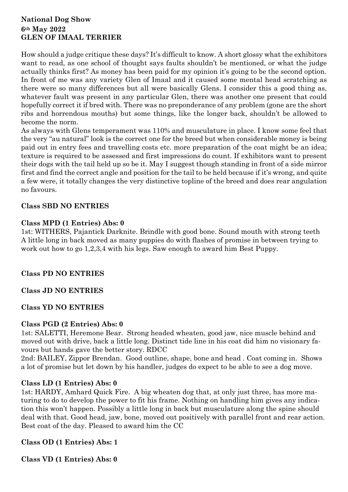# **National Dog Show 6th May 2022 GLEN OF IMAAL TERRIER**

How should a judge critique these days? It's difficult to know. A short glossy what the exhibitors want to read, as one school of thought says faults shouldn't be mentioned, or what the judge actually thinks first? As money has been paid for my opinion it's going to be the second option. In front of me was any variety Glen of Imaal and it caused some mental head scratching as there were so many differences but all were basically Glens. I consider this a good thing as, whatever fault was present in any particular Glen, there was another one present that could hopefully correct it if bred with. There was no preponderance of any problem (gone are the short ribs and horrendous mouths) but some things, like the longer back, shouldn't be allowed to become the norm.

As always with Glens temperament was 110% and musculature in place. I know some feel that the very "au natural" look is the correct one for the breed but when considerable money is being paid out in entry fees and travelling costs etc. more preparation of the coat might be an idea; texture is required to be assessed and first impressions do count. If exhibitors want to present their dogs with the tail held up so be it. May I suggest though standing in front of a side mirror first and find the correct angle and position for the tail to be held because if it's wrong, and quite a few were, it totally changes the very distinctive topline of the breed and does rear angulation no favours.

# **Class SBD NO ENTRIES**

### **Class MPD (1 Entries) Abs: 0**

1st: WITHERS, Pajantick Darknite. Brindle with good bone. Sound mouth with strong teeth A little long in back moved as many puppies do with flashes of promise in between trying to work out how to go 1,2,3,4 with his legs. Saw enough to award him Best Puppy.

# **Class PD NO ENTRIES**

# **Class JD NO ENTRIES**

# **Class YD NO ENTRIES**

# **Class PGD (2 Entries) Abs: 0**

1st: SALETTI, Heremone Bear. Strong headed wheaten, good jaw, nice muscle behind and moved out with drive, back a little long. Distinct tide line in his coat did him no visionary favours but hands gave the better story. RDCC

2nd: BAILEY, Zippor Brendan. Good outline, shape, bone and head . Coat coming in. Shows a lot of promise but let down by his handler, judges do expect to be able to see a dog move.

# **Class LD (1 Entries) Abs: 0**

1st: HARDY, Amhard Quick Fire. A big wheaten dog that, at only just three, has more maturing to do to develop the power to fit his frame. Nothing on handling him gives any indication this won't happen. Possibly a little long in back but musculature along the spine should deal with that. Good head, jaw, bone, moved out positively with parallel front and rear action. Best coat of the day. Pleased to award him the CC

# **Class OD (1 Entries) Abs: 1**

**Class VD (1 Entries) Abs: 0**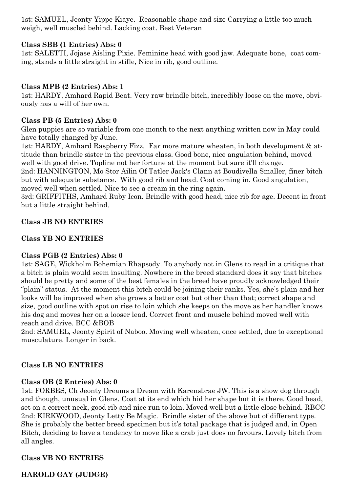1st: SAMUEL, Jeonty Yippe Kiaye. Reasonable shape and size Carrying a little too much weigh, well muscled behind. Lacking coat. Best Veteran

# **Class SBB (1 Entries) Abs: 0**

1st: SALETTI, Jojase Aisling Pixie. Feminine head with good jaw. Adequate bone, coat coming, stands a little straight in stifle, Nice in rib, good outline.

# **Class MPB (2 Entries) Abs: 1**

1st: HARDY, Amhard Rapid Beat. Very raw brindle bitch, incredibly loose on the move, obviously has a will of her own.

#### **Class PB (5 Entries) Abs: 0**

Glen puppies are so variable from one month to the next anything written now in May could have totally changed by June.

1st: HARDY, Amhard Raspberry Fizz. Far more mature wheaten, in both development & attitude than brindle sister in the previous class. Good bone, nice angulation behind, moved well with good drive. Topline not her fortune at the moment but sure it'll change.

2nd: HANNINGTON, Mo Stor Ailin Of Tatler Jack's Clann at Boudivella Smaller, finer bitch but with adequate substance. With good rib and head. Coat coming in. Good angulation, moved well when settled. Nice to see a cream in the ring again.

3rd: GRIFFITHS, Amhard Ruby Icon. Brindle with good head, nice rib for age. Decent in front but a little straight behind.

### **Class JB NO ENTRIES**

### **Class YB NO ENTRIES**

# **Class PGB (2 Entries) Abs: 0**

1st: SAGE, Wickholm Bohemian Rhapsody. To anybody not in Glens to read in a critique that a bitch is plain would seem insulting. Nowhere in the breed standard does it say that bitches should be pretty and some of the best females in the breed have proudly acknowledged their "plain" status. At the moment this bitch could be joining their ranks. Yes, she's plain and her looks will be improved when she grows a better coat but other than that; correct shape and size, good outline with spot on rise to loin which she keeps on the move as her handler knows his dog and moves her on a looser lead. Correct front and muscle behind moved well with reach and drive. BCC &BOB

2nd: SAMUEL, Jeonty Spirit of Naboo. Moving well wheaten, once settled, due to exceptional musculature. Longer in back.

# **Class LB NO ENTRIES**

# **Class OB (2 Entries) Abs: 0**

1st: FORBES, Ch Jeonty Dreams a Dream with Karensbrae JW. This is a show dog through and though, unusual in Glens. Coat at its end which hid her shape but it is there. Good head, set on a correct neck, good rib and nice run to loin. Moved well but a little close behind. RBCC 2nd: KIRKWOOD, Jeonty Letty Be Magic. Brindle sister of the above but of different type. She is probably the better breed specimen but it's total package that is judged and, in Open Bitch, deciding to have a tendency to move like a crab just does no favours. Lovely bitch from all angles.

# **Class VB NO ENTRIES**

**HAROLD GAY (JUDGE)**